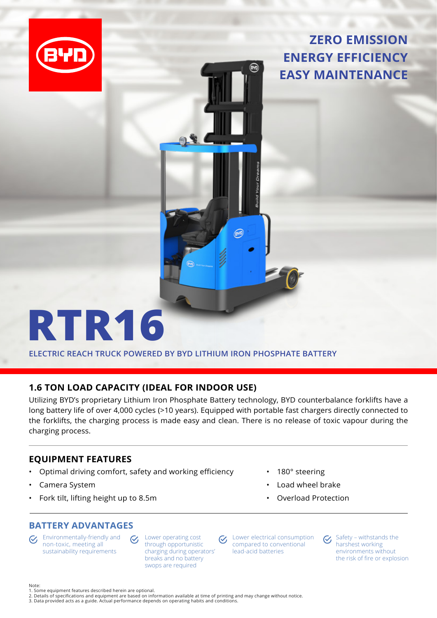

**ZERO EMISSION ENERGY EFFICIENCY EASY MAINTENANCE**

## **RTR16**

**ELECTRIC REACH TRUCK POWERED BY BYD LITHIUM IRON PHOSPHATE BATTERY**

## **1.6 TON LOAD CAPACITY (IDEAL FOR INDOOR USE)**

Utilizing BYD's proprietary Lithium Iron Phosphate Battery technology, BYD counterbalance forklifts have a long battery life of over 4,000 cycles (>10 years). Equipped with portable fast chargers directly connected to the forklifts, the charging process is made easy and clean. There is no release of toxic vapour during the charging process.

## **EQUIPMENT FEATURES**

• Optimal driving comfort, safety and working efficiency

 $\mathcal{C}_{I}$ 

- Camera System
- Fork tilt, lifting height up to 8.5m
- 180° steering
- Load wheel brake
- Overload Protection

## **BATTERY ADVANTAGES**

Environmentally-friendly and  $\mathcal{C}$ non-toxic, meeting all sustainability requirements

Lower operating cost  $\mathcal{C}_{I}$ through opportunistic charging during operators' breaks and no battery swops are required

Lower electrical consumption compared to conventional lead-acid batteries

Safety – withstands the  $\mathcal{C}$ harshest working environments without the risk of fire or explosion

Note:

- 1. Some equipment features described herein are optional.
- 2. Details of specifications and equipment are based on information available at time of printing and may change without notice.<br>3. Data provided acts as a guide. Actual performance depends on operating habits and conditio
-